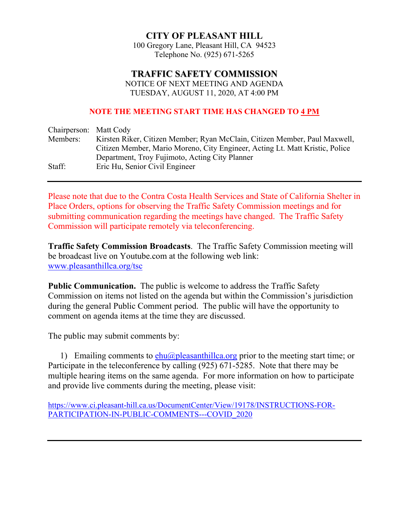# **CITY OF PLEASANT HILL**

100 Gregory Lane, Pleasant Hill, CA 94523 Telephone No. (925) 671-5265

# **TRAFFIC SAFETY COMMISSION**

 NOTICE OF NEXT MEETING AND AGENDA TUESDAY, AUGUST 11, 2020, AT 4:00 PM

#### **NOTE THE MEETING START TIME HAS CHANGED TO 4 PM**

| Chairperson: Matt Cody |                                                                              |
|------------------------|------------------------------------------------------------------------------|
| Members:               | Kirsten Riker, Citizen Member; Ryan McClain, Citizen Member, Paul Maxwell,   |
|                        | Citizen Member, Mario Moreno, City Engineer, Acting Lt. Matt Kristic, Police |
|                        | Department, Troy Fujimoto, Acting City Planner                               |
| Staff:                 | Eric Hu, Senior Civil Engineer                                               |

Please note that due to the Contra Costa Health Services and State of California Shelter in Place Orders, options for observing the Traffic Safety Commission meetings and for submitting communication regarding the meetings have changed. The Traffic Safety Commission will participate remotely via teleconferencing.

**Traffic Safety Commission Broadcasts**. The Traffic Safety Commission meeting will be broadcast live on Youtube.com at the following web link: www.pleasanthillca.org/tsc

**Public Communication.** The public is welcome to address the Traffic Safety Commission on items not listed on the agenda but within the Commission's jurisdiction during the general Public Comment period. The public will have the opportunity to comment on agenda items at the time they are discussed.

The public may submit comments by:

1) Emailing comments to  $ehu(\partial p)$  pleasanthillca.org prior to the meeting start time; or Participate in the teleconference by calling (925) 671-5285. Note that there may be multiple hearing items on the same agenda. For more information on how to participate and provide live comments during the meeting, please visit:

https://www.ci.pleasant-hill.ca.us/DocumentCenter/View/19178/INSTRUCTIONS-FOR-PARTICIPATION-IN-PUBLIC-COMMENTS---COVID\_2020